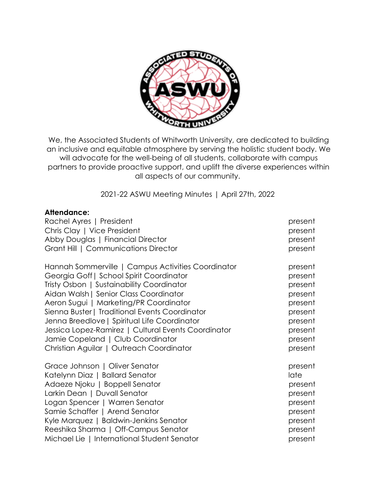

We, the Associated Students of Whitworth University, are dedicated to building an inclusive and equitable atmosphere by serving the holistic student body. We will advocate for the well-being of all students, collaborate with campus partners to provide proactive support, and uplift the diverse experiences within all aspects of our community.

2021-22 ASWU Meeting Minutes | April 27th, 2022

### **Attendance:**

| Rachel Ayres   President                            | present |
|-----------------------------------------------------|---------|
| Chris Clay   Vice President                         | present |
| Abby Douglas   Financial Director                   | present |
| Grant Hill   Communications Director                | present |
| Hannah Sommerville   Campus Activities Coordinator  | present |
| Georgia Goff   School Spirit Coordinator            | present |
| Tristy Osbon   Sustainability Coordinator           | present |
| Aidan Walsh   Senior Class Coordinator              | present |
| Aeron Sugui   Marketing/PR Coordinator              | present |
| Sienna Buster   Traditional Events Coordinator      | present |
| Jenna Breedlove   Spiritual Life Coordinator        | present |
| Jessica Lopez-Ramirez   Cultural Events Coordinator | present |
| Jamie Copeland   Club Coordinator                   | present |
| Christian Aguilar   Outreach Coordinator            | present |
| Grace Johnson   Oliver Senator                      | present |
| Katelynn Diaz   Ballard Senator                     | late    |
| Adaeze Njoku   Boppell Senator                      | present |
| Larkin Dean   Duvall Senator                        | present |
| Logan Spencer   Warren Senator                      | present |
| Samie Schaffer   Arend Senator                      | present |
| Kyle Marquez   Baldwin-Jenkins Senator              | present |
| Reeshika Sharma   Off-Campus Senator                | present |
| Michael Lie   International Student Senator         | present |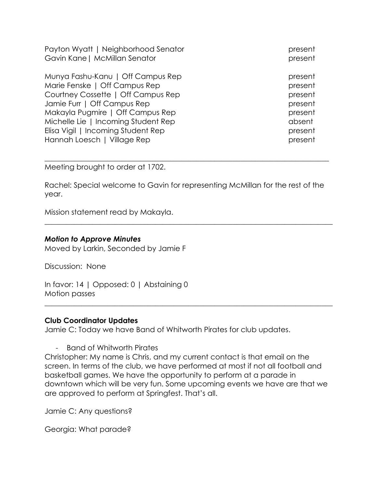Payton Wyatt | Neighborhood Senator **present** present Gavin Kane | McMillan Senator present present

Munya Fashu-Kanu | Off Campus Rep present present Marie Fenske | Off Campus Rep present Courtney Cossette | Off Campus Rep present Jamie Furr | Off Campus Rep present present Makayla Pugmire | Off Campus Rep present present Michelle Lie | Incoming Student Rep absent Elisa Vigil | Incoming Student Rep present present Hannah Loesch | Village Rep present present present

Meeting brought to order at 1702.

Rachel: Special welcome to Gavin for representing McMillan for the rest of the year.

 $\_$  , and the set of the set of the set of the set of the set of the set of the set of the set of the set of the set of the set of the set of the set of the set of the set of the set of the set of the set of the set of th

\_\_\_\_\_\_\_\_\_\_\_\_\_\_\_\_\_\_\_\_\_\_\_\_\_\_\_\_\_\_\_\_\_\_\_\_\_\_\_\_\_\_\_\_\_\_\_\_\_\_\_\_\_\_\_\_\_\_\_\_\_\_\_\_\_\_\_\_\_\_\_\_\_\_\_\_\_

Mission statement read by Makayla.

#### *Motion to Approve Minutes*

Moved by Larkin, Seconded by Jamie F

Discussion: None

In favor: 14 | Opposed: 0 | Abstaining 0 Motion passes

### **Club Coordinator Updates**

Jamie C: Today we have Band of Whitworth Pirates for club updates.

- Band of Whitworth Pirates

Christopher: My name is Chris, and my current contact is that email on the screen. In terms of the club, we have performed at most if not all football and basketball games. We have the opportunity to perform at a parade in downtown which will be very fun. Some upcoming events we have are that we are approved to perform at Springfest. That's all.

 $\_$  , and the set of the set of the set of the set of the set of the set of the set of the set of the set of the set of the set of the set of the set of the set of the set of the set of the set of the set of the set of th

Jamie C: Any questions?

Georgia: What parade?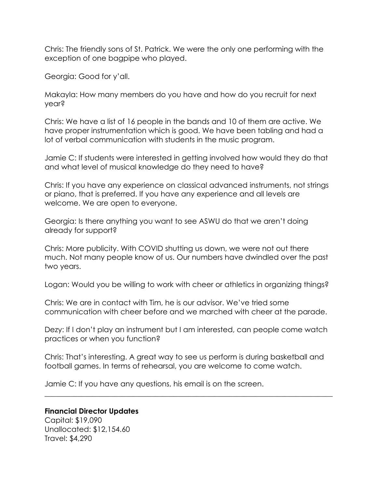Chris: The friendly sons of St. Patrick. We were the only one performing with the exception of one bagpipe who played.

Georgia: Good for y'all.

Makayla: How many members do you have and how do you recruit for next year?

Chris: We have a list of 16 people in the bands and 10 of them are active. We have proper instrumentation which is good. We have been tabling and had a lot of verbal communication with students in the music program.

Jamie C: If students were interested in getting involved how would they do that and what level of musical knowledge do they need to have?

Chris: If you have any experience on classical advanced instruments, not strings or piano, that is preferred. If you have any experience and all levels are welcome. We are open to everyone.

Georgia: Is there anything you want to see ASWU do that we aren't doing already for support?

Chris: More publicity. With COVID shutting us down, we were not out there much. Not many people know of us. Our numbers have dwindled over the past two years.

Logan: Would you be willing to work with cheer or athletics in organizing things?

Chris: We are in contact with Tim, he is our advisor. We've tried some communication with cheer before and we marched with cheer at the parade.

Dezy: If I don't play an instrument but I am interested, can people come watch practices or when you function?

Chris: That's interesting. A great way to see us perform is during basketball and football games. In terms of rehearsal, you are welcome to come watch.

\_\_\_\_\_\_\_\_\_\_\_\_\_\_\_\_\_\_\_\_\_\_\_\_\_\_\_\_\_\_\_\_\_\_\_\_\_\_\_\_\_\_\_\_\_\_\_\_\_\_\_\_\_\_\_\_\_\_\_\_\_\_\_\_\_\_\_\_\_\_\_\_\_\_\_\_\_\_

Jamie C: If you have any questions, his email is on the screen.

### **Financial Director Updates**

Capital: \$19,090 Unallocated: \$12,154.60 Travel: \$4,290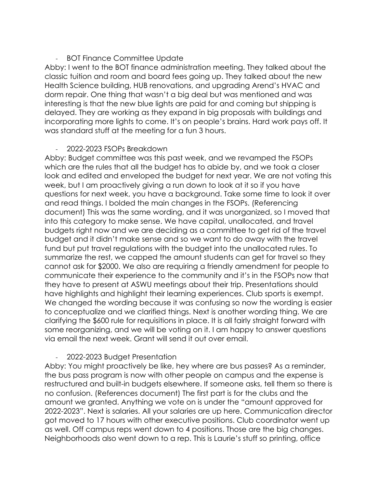# - BOT Finance Committee Update

Abby: I went to the BOT finance administration meeting. They talked about the classic tuition and room and board fees going up. They talked about the new Health Science building, HUB renovations, and upgrading Arend's HVAC and dorm repair. One thing that wasn't a big deal but was mentioned and was interesting is that the new blue lights are paid for and coming but shipping is delayed. They are working as they expand in big proposals with buildings and incorporating more lights to come. It's on people's brains. Hard work pays off. It was standard stuff at the meeting for a fun 3 hours.

# - 2022-2023 FSOPs Breakdown

Abby: Budget committee was this past week, and we revamped the FSOPs which are the rules that all the budget has to abide by, and we took a closer look and edited and enveloped the budget for next year. We are not voting this week, but I am proactively giving a run down to look at it so if you have questions for next week, you have a background. Take some time to look it over and read things. I bolded the main changes in the FSOPs. (Referencing document) This was the same wording, and it was unorganized, so I moved that into this category to make sense. We have capital, unallocated, and travel budgets right now and we are deciding as a committee to get rid of the travel budget and it didn't make sense and so we want to do away with the travel fund but put travel regulations with the budget into the unallocated rules. To summarize the rest, we capped the amount students can get for travel so they cannot ask for \$2000. We also are requiring a friendly amendment for people to communicate their experience to the community and it's in the FSOPs now that they have to present at ASWU meetings about their trip. Presentations should have highlights and highlight their learning experiences. Club sports is exempt. We changed the wording because it was confusing so now the wording is easier to conceptualize and we clarified things. Next is another wording thing. We are clarifying the \$600 rule for requisitions in place. It is all fairly straight forward with some reorganizing, and we will be voting on it. I am happy to answer questions via email the next week. Grant will send it out over email.

# - 2022-2023 Budget Presentation

Abby: You might proactively be like, hey where are bus passes? As a reminder, the bus pass program is now with other people on campus and the expense is restructured and built-in budgets elsewhere. If someone asks, tell them so there is no confusion. (References document) The first part is for the clubs and the amount we granted. Anything we vote on is under the "amount approved for 2022-2023". Next is salaries. All your salaries are up here. Communication director got moved to 17 hours with other executive positions. Club coordinator went up as well. Off campus reps went down to 4 positions. Those are the big changes. Neighborhoods also went down to a rep. This is Laurie's stuff so printing, office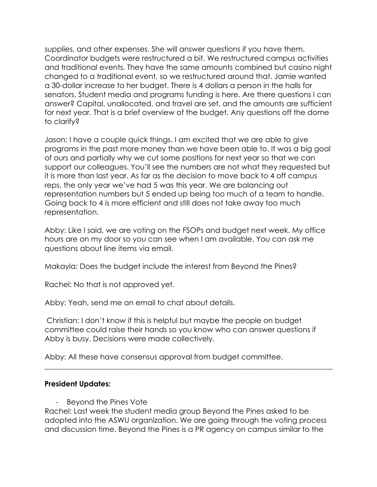supplies, and other expenses. She will answer questions if you have them. Coordinator budgets were restructured a bit. We restructured campus activities and traditional events. They have the same amounts combined but casino night changed to a traditional event, so we restructured around that. Jamie wanted a 30-dollar increase to her budget. There is 4 dollars a person in the halls for senators. Student media and programs funding is here. Are there questions I can answer? Capital, unallocated, and travel are set, and the amounts are sufficient for next year. That is a brief overview of the budget. Any questions off the dome to clarify?

Jason: I have a couple quick things. I am excited that we are able to give programs in the past more money than we have been able to. It was a big goal of ours and partially why we cut some positions for next year so that we can support our colleagues. You'll see the numbers are not what they requested but it is more than last year. As far as the decision to move back to 4 off campus reps, the only year we've had 5 was this year. We are balancing out representation numbers but 5 ended up being too much of a team to handle. Going back to 4 is more efficient and still does not take away too much representation.

Abby: Like I said, we are voting on the FSOPs and budget next week. My office hours are on my door so you can see when I am available. You can ask me questions about line items via email.

Makayla: Does the budget include the interest from Beyond the Pines?

Rachel: No that is not approved yet.

Abby: Yeah, send me an email to chat about details.

Christian: I don't know if this is helpful but maybe the people on budget committee could raise their hands so you know who can answer questions if Abby is busy. Decisions were made collectively.

Abby: All these have consensus approval from budget committee.

# **President Updates:**

- Beyond the Pines Vote

Rachel: Last week the student media group Beyond the Pines asked to be adopted into the ASWU organization. We are going through the voting process and discussion time. Beyond the Pines is a PR agency on campus similar to the

 $\_$  , and the set of the set of the set of the set of the set of the set of the set of the set of the set of the set of the set of the set of the set of the set of the set of the set of the set of the set of the set of th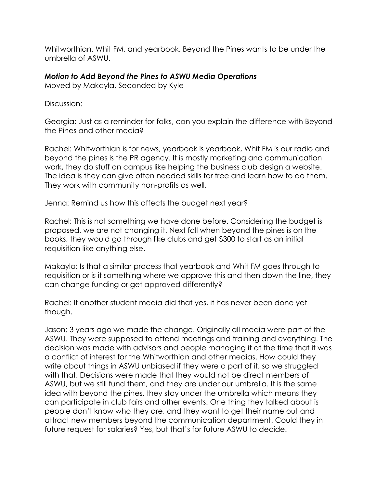Whitworthian, Whit FM, and yearbook. Beyond the Pines wants to be under the umbrella of ASWU.

### *Motion to Add Beyond the Pines to ASWU Media Operations*

Moved by Makayla, Seconded by Kyle

Discussion:

Georgia: Just as a reminder for folks, can you explain the difference with Beyond the Pines and other media?

Rachel: Whitworthian is for news, yearbook is yearbook, Whit FM is our radio and beyond the pines is the PR agency. It is mostly marketing and communication work, they do stuff on campus like helping the business club design a website. The idea is they can give often needed skills for free and learn how to do them. They work with community non-profits as well.

Jenna: Remind us how this affects the budget next year?

Rachel: This is not something we have done before. Considering the budget is proposed, we are not changing it. Next fall when beyond the pines is on the books, they would go through like clubs and get \$300 to start as an initial requisition like anything else.

Makayla: Is that a similar process that yearbook and Whit FM goes through to requisition or is it something where we approve this and then down the line, they can change funding or get approved differently?

Rachel: If another student media did that yes, it has never been done yet though.

Jason: 3 years ago we made the change. Originally all media were part of the ASWU. They were supposed to attend meetings and training and everything. The decision was made with advisors and people managing it at the time that it was a conflict of interest for the Whitworthian and other medias. How could they write about things in ASWU unbiased if they were a part of it, so we struggled with that. Decisions were made that they would not be direct members of ASWU, but we still fund them, and they are under our umbrella. It is the same idea with beyond the pines, they stay under the umbrella which means they can participate in club fairs and other events. One thing they talked about is people don't know who they are, and they want to get their name out and attract new members beyond the communication department. Could they in future request for salaries? Yes, but that's for future ASWU to decide.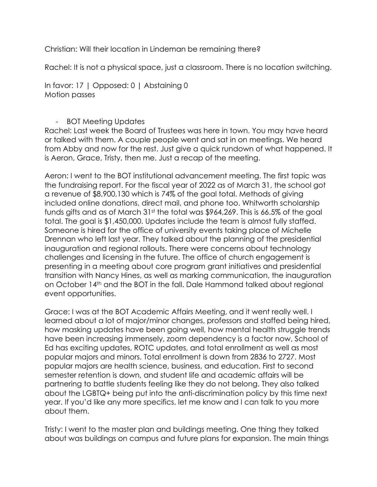Christian: Will their location in Lindeman be remaining there?

Rachel: It is not a physical space, just a classroom. There is no location switching.

In favor: 17 | Opposed: 0 | Abstaining 0 Motion passes

# - BOT Meeting Updates

Rachel: Last week the Board of Trustees was here in town. You may have heard or talked with them. A couple people went and sat in on meetings. We heard from Abby and now for the rest. Just give a quick rundown of what happened. It is Aeron, Grace, Tristy, then me. Just a recap of the meeting.

Aeron: I went to the BOT institutional advancement meeting. The first topic was the fundraising report. For the fiscal year of 2022 as of March 31, the school got a revenue of \$8,900,130 which is 74% of the goal total. Methods of giving included online donations, direct mail, and phone too. Whitworth scholarship funds gifts and as of March 31st the total was \$964,269. This is 66.5% of the goal total. The goal is \$1,450,000. Updates include the team is almost fully staffed. Someone is hired for the office of university events taking place of Michelle Drennan who left last year. They talked about the planning of the presidential inauguration and regional rollouts. There were concerns about technology challenges and licensing in the future. The office of church engagement is presenting in a meeting about core program grant initiatives and presidential transition with Nancy Hines, as well as marking communication, the inauguration on October 14th and the BOT in the fall. Dale Hammond talked about regional event opportunities.

Grace: I was at the BOT Academic Affairs Meeting, and it went really well. I learned about a lot of major/minor changes, professors and staffed being hired, how masking updates have been going well, how mental health struggle trends have been increasing immensely, zoom dependency is a factor now, School of Ed has exciting updates, ROTC updates, and total enrollment as well as most popular majors and minors. Total enrollment is down from 2836 to 2727. Most popular majors are health science, business, and education. First to second semester retention is down, and student life and academic affairs will be partnering to battle students feeling like they do not belong. They also talked about the LGBTQ+ being put into the anti-discrimination policy by this time next year. If you'd like any more specifics, let me know and I can talk to you more about them.

Tristy: I went to the master plan and buildings meeting. One thing they talked about was buildings on campus and future plans for expansion. The main things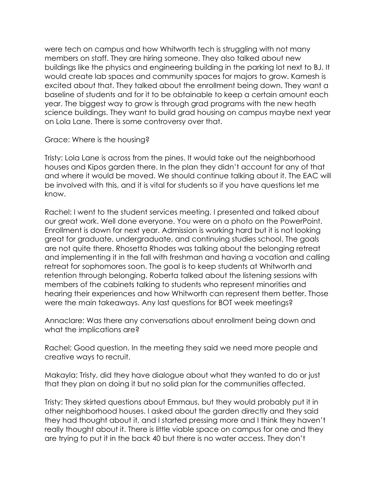were tech on campus and how Whitworth tech is struggling with not many members on staff. They are hiring someone. They also talked about new buildings like the physics and engineering building in the parking lot next to BJ. It would create lab spaces and community spaces for majors to grow. Kamesh is excited about that. They talked about the enrollment being down. They want a baseline of students and for it to be obtainable to keep a certain amount each year. The biggest way to grow is through grad programs with the new heath science buildings. They want to build grad housing on campus maybe next year on Lola Lane. There is some controversy over that.

#### Grace: Where is the housing?

Tristy: Lola Lane is across from the pines. It would take out the neighborhood houses and Kipos garden there. In the plan they didn't account for any of that and where it would be moved. We should continue talking about it. The EAC will be involved with this, and it is vital for students so if you have questions let me know.

Rachel: I went to the student services meeting. I presented and talked about our great work. Well done everyone. You were on a photo on the PowerPoint. Enrollment is down for next year. Admission is working hard but it is not looking great for graduate, undergraduate, and continuing studies school. The goals are not quite there. Rhosetta Rhodes was talking about the belonging retreat and implementing it in the fall with freshman and having a vocation and calling retreat for sophomores soon. The goal is to keep students at Whitworth and retention through belonging. Roberta talked about the listening sessions with members of the cabinets talking to students who represent minorities and hearing their experiences and how Whitworth can represent them better. Those were the main takeaways. Any last questions for BOT week meetings?

Annaclare: Was there any conversations about enrollment being down and what the implications are?

Rachel: Good question. In the meeting they said we need more people and creative ways to recruit.

Makayla: Tristy, did they have dialogue about what they wanted to do or just that they plan on doing it but no solid plan for the communities affected.

Tristy: They skirted questions about Emmaus, but they would probably put it in other neighborhood houses. I asked about the garden directly and they said they had thought about it, and I started pressing more and I think they haven't really thought about it. There is little viable space on campus for one and they are trying to put it in the back 40 but there is no water access. They don't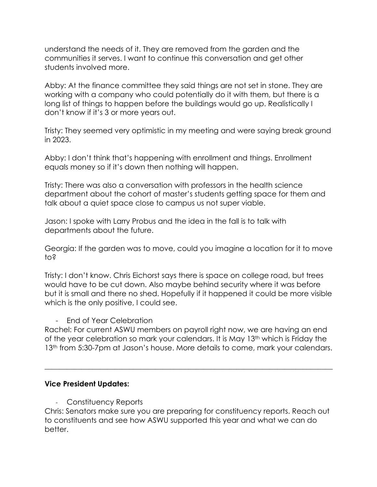understand the needs of it. They are removed from the garden and the communities it serves. I want to continue this conversation and get other students involved more.

Abby: At the finance committee they said things are not set in stone. They are working with a company who could potentially do it with them, but there is a long list of things to happen before the buildings would go up. Realistically I don't know if it's 3 or more years out.

Tristy: They seemed very optimistic in my meeting and were saying break ground in 2023.

Abby: I don't think that's happening with enrollment and things. Enrollment equals money so if it's down then nothing will happen.

Tristy: There was also a conversation with professors in the health science department about the cohort of master's students getting space for them and talk about a quiet space close to campus us not super viable.

Jason: I spoke with Larry Probus and the idea in the fall is to talk with departments about the future.

Georgia: If the garden was to move, could you imagine a location for it to move to?

Tristy: I don't know. Chris Eichorst says there is space on college road, but trees would have to be cut down. Also maybe behind security where it was before but it is small and there no shed. Hopefully if it happened it could be more visible which is the only positive, I could see.

- End of Year Celebration

Rachel: For current ASWU members on payroll right now, we are having an end of the year celebration so mark your calendars. It is May 13<sup>th</sup> which is Friday the 13<sup>th</sup> from 5:30-7pm at Jason's house. More details to come, mark your calendars.

 $\_$  , and the set of the set of the set of the set of the set of the set of the set of the set of the set of the set of the set of the set of the set of the set of the set of the set of the set of the set of the set of th

# **Vice President Updates:**

- Constituency Reports

Chris: Senators make sure you are preparing for constituency reports. Reach out to constituents and see how ASWU supported this year and what we can do better.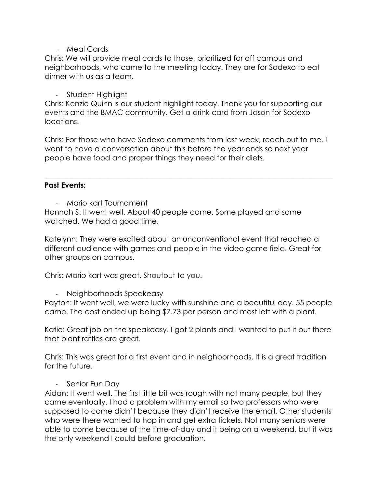- Meal Cards

Chris: We will provide meal cards to those, prioritized for off campus and neighborhoods, who came to the meeting today. They are for Sodexo to eat dinner with us as a team.

### - Student Highlight

Chris: Kenzie Quinn is our student highlight today. Thank you for supporting our events and the BMAC community. Get a drink card from Jason for Sodexo locations.

Chris: For those who have Sodexo comments from last week, reach out to me. I want to have a conversation about this before the year ends so next year people have food and proper things they need for their diets.

\_\_\_\_\_\_\_\_\_\_\_\_\_\_\_\_\_\_\_\_\_\_\_\_\_\_\_\_\_\_\_\_\_\_\_\_\_\_\_\_\_\_\_\_\_\_\_\_\_\_\_\_\_\_\_\_\_\_\_\_\_\_\_\_\_\_\_\_\_\_\_\_\_\_\_\_\_\_

### **Past Events:**

- Mario kart Tournament

Hannah S: It went well. About 40 people came. Some played and some watched. We had a good time.

Katelynn: They were excited about an unconventional event that reached a different audience with games and people in the video game field. Great for other groups on campus.

Chris: Mario kart was great. Shoutout to you.

### Neighborhoods Speakeasy

Payton: It went well, we were lucky with sunshine and a beautiful day. 55 people came. The cost ended up being \$7.73 per person and most left with a plant.

Katie: Great job on the speakeasy. I got 2 plants and I wanted to put it out there that plant raffles are great.

Chris: This was great for a first event and in neighborhoods. It is a great tradition for the future.

# - Senior Fun Day

Aidan: It went well. The first little bit was rough with not many people, but they came eventually. I had a problem with my email so two professors who were supposed to come didn't because they didn't receive the email. Other students who were there wanted to hop in and get extra tickets. Not many seniors were able to come because of the time-of-day and it being on a weekend, but it was the only weekend I could before graduation.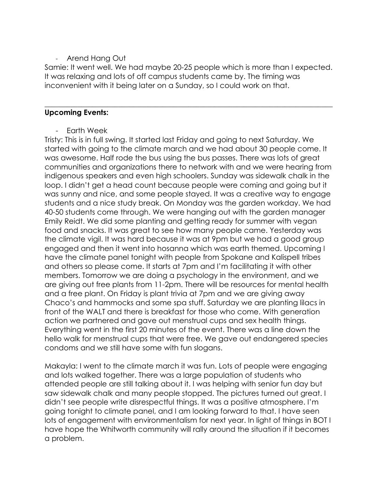# - Arend Hang Out

Samie: It went well. We had maybe 20-25 people which is more than I expected. It was relaxing and lots of off campus students came by. The timing was inconvenient with it being later on a Sunday, so I could work on that.

 $\_$  , and the set of the set of the set of the set of the set of the set of the set of the set of the set of the set of the set of the set of the set of the set of the set of the set of the set of the set of the set of th

### **Upcoming Events:**

- Earth Week

Tristy: This is in full swing. It started last Friday and going to next Saturday. We started with going to the climate march and we had about 30 people come. It was awesome. Half rode the bus using the bus passes. There was lots of great communities and organizations there to network with and we were hearing from indigenous speakers and even high schoolers. Sunday was sidewalk chalk in the loop. I didn't get a head count because people were coming and going but it was sunny and nice, and some people stayed. It was a creative way to engage students and a nice study break. On Monday was the garden workday. We had 40-50 students come through. We were hanging out with the garden manager Emily Reidt. We did some planting and getting ready for summer with vegan food and snacks. It was great to see how many people came. Yesterday was the climate vigil. It was hard because it was at 9pm but we had a good group engaged and then it went into hosanna which was earth themed. Upcoming I have the climate panel tonight with people from Spokane and Kalispell tribes and others so please come. It starts at 7pm and I'm facilitating it with other members. Tomorrow we are doing a psychology in the environment, and we are giving out free plants from 11-2pm. There will be resources for mental health and a free plant. On Friday is plant trivia at 7pm and we are giving away Chaco's and hammocks and some spa stuff. Saturday we are planting lilacs in front of the WALT and there is breakfast for those who come. With generation action we partnered and gave out menstrual cups and sex health things. Everything went in the first 20 minutes of the event. There was a line down the hello walk for menstrual cups that were free. We gave out endangered species condoms and we still have some with fun slogans.

Makayla: I went to the climate march it was fun. Lots of people were engaging and lots walked together. There was a large population of students who attended people are still talking about it. I was helping with senior fun day but saw sidewalk chalk and many people stopped. The pictures turned out great. I didn't see people write disrespectful things. It was a positive atmosphere. I'm going tonight to climate panel, and I am looking forward to that. I have seen lots of engagement with environmentalism for next year. In light of things in BOT I have hope the Whitworth community will rally around the situation if it becomes a problem.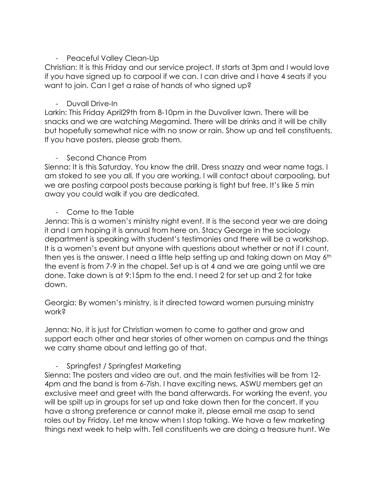# - Peaceful Valley Clean-Up

Christian: It is this Friday and our service project. It starts at 3pm and I would love if you have signed up to carpool if we can. I can drive and I have 4 seats if you want to join. Can I get a raise of hands of who signed up?

# - Duvall Drive-In

Larkin: This Friday April29th from 8-10pm in the Duvoliver lawn. There will be snacks and we are watching Megamind. There will be drinks and it will be chilly but hopefully somewhat nice with no snow or rain. Show up and tell constituents. If you have posters, please grab them.

# - Second Chance Prom

Sienna: It is this Saturday. You know the drill. Dress snazzy and wear name tags. I am stoked to see you all. If you are working, I will contact about carpooling, but we are posting carpool posts because parking is tight but free. It's like 5 min away you could walk if you are dedicated.

# - Come to the Table

Jenna: This is a women's ministry night event. It is the second year we are doing it and I am hoping it is annual from here on. Stacy George in the sociology department is speaking with student's testimonies and there will be a workshop. It is a women's event but anyone with questions about whether or not if I count, then yes is the answer. I need a little help setting up and taking down on May 6th the event is from 7-9 in the chapel. Set up is at 4 and we are going until we are done. Take down is at 9:15pm to the end. I need 2 for set up and 2 for take down.

Georgia: By women's ministry, is it directed toward women pursuing ministry work?

Jenna: No, it is just for Christian women to come to gather and grow and support each other and hear stories of other women on campus and the things we carry shame about and letting go of that.

# - Springfest / Springfest Marketing

Sienna: The posters and video are out, and the main festivities will be from 12- 4pm and the band is from 6-7ish. I have exciting news, ASWU members get an exclusive meet and greet with the band afterwards. For working the event, you will be spilt up in groups for set up and take down then for the concert. If you have a strong preference or cannot make it, please email me asap to send roles out by Friday. Let me know when I stop talking. We have a few marketing things next week to help with. Tell constituents we are doing a treasure hunt. We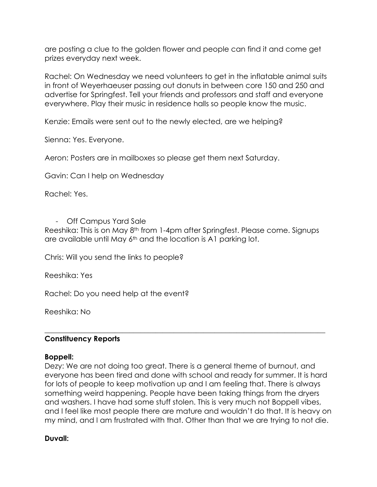are posting a clue to the golden flower and people can find it and come get prizes everyday next week.

Rachel: On Wednesday we need volunteers to get in the inflatable animal suits in front of Weyerhaeuser passing out donuts in between core 150 and 250 and advertise for Springfest. Tell your friends and professors and staff and everyone everywhere. Play their music in residence halls so people know the music.

Kenzie: Emails were sent out to the newly elected, are we helping?

Sienna: Yes. Everyone.

Aeron: Posters are in mailboxes so please get them next Saturday.

Gavin: Can I help on Wednesday

Rachel: Yes.

- Off Campus Yard Sale

Reeshika: This is on May 8th from 1-4pm after Springfest. Please come. Signups are available until May 6<sup>th</sup> and the location is A1 parking lot.

Chris: Will you send the links to people?

Reeshika: Yes

Rachel: Do you need help at the event?

Reeshika: No

#### **Constituency Reports**

#### **Boppell:**

Dezy: We are not doing too great. There is a general theme of burnout, and everyone has been tired and done with school and ready for summer. It is hard for lots of people to keep motivation up and I am feeling that. There is always something weird happening. People have been taking things from the dryers and washers. I have had some stuff stolen. This is very much not Boppell vibes, and I feel like most people there are mature and wouldn't do that. It is heavy on my mind, and I am frustrated with that. Other than that we are trying to not die.

\_\_\_\_\_\_\_\_\_\_\_\_\_\_\_\_\_\_\_\_\_\_\_\_\_\_\_\_\_\_\_\_\_\_\_\_\_\_\_\_\_\_\_\_\_\_\_\_\_\_\_\_\_\_\_\_\_\_\_\_\_\_\_\_\_\_\_\_\_\_\_\_\_\_\_\_

#### **Duvall:**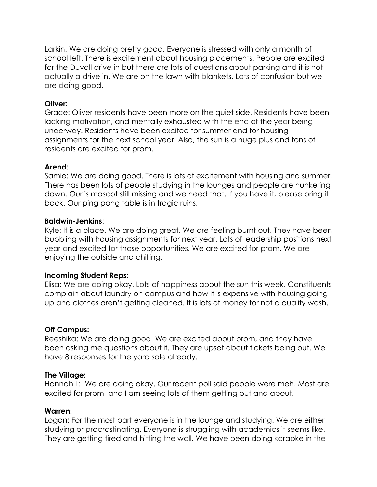Larkin: We are doing pretty good. Everyone is stressed with only a month of school left. There is excitement about housing placements. People are excited for the Duvall drive in but there are lots of questions about parking and it is not actually a drive in. We are on the lawn with blankets. Lots of confusion but we are doing good.

### **Oliver:**

Grace: Oliver residents have been more on the quiet side. Residents have been lacking motivation, and mentally exhausted with the end of the year being underway. Residents have been excited for summer and for housing assignments for the next school year. Also, the sun is a huge plus and tons of residents are excited for prom.

### **Arend**:

Samie: We are doing good. There is lots of excitement with housing and summer. There has been lots of people studying in the lounges and people are hunkering down. Our is mascot still missing and we need that. If you have it, please bring it back. Our ping pong table is in tragic ruins.

### **Baldwin-Jenkins**:

Kyle: It is a place. We are doing great. We are feeling burnt out. They have been bubbling with housing assignments for next year. Lots of leadership positions next year and excited for those opportunities. We are excited for prom. We are enjoying the outside and chilling.

# **Incoming Student Reps**:

Elisa: We are doing okay. Lots of happiness about the sun this week. Constituents complain about laundry on campus and how it is expensive with housing going up and clothes aren't getting cleaned. It is lots of money for not a quality wash.

### **Off Campus:**

Reeshika: We are doing good. We are excited about prom, and they have been asking me questions about it. They are upset about tickets being out. We have 8 responses for the yard sale already.

### **The Village:**

Hannah L: We are doing okay. Our recent poll said people were meh. Most are excited for prom, and I am seeing lots of them getting out and about.

### **Warren:**

Logan: For the most part everyone is in the lounge and studying. We are either studying or procrastinating. Everyone is struggling with academics it seems like. They are getting tired and hitting the wall. We have been doing karaoke in the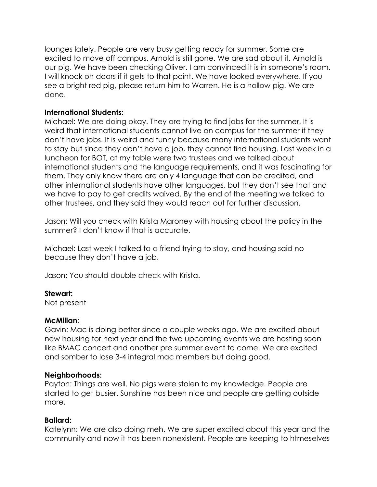lounges lately. People are very busy getting ready for summer. Some are excited to move off campus. Arnold is still gone. We are sad about it. Arnold is our pig. We have been checking Oliver. I am convinced it is in someone's room. I will knock on doors if it gets to that point. We have looked everywhere. If you see a bright red pig, please return him to Warren. He is a hollow pig. We are done.

### **International Students:**

Michael: We are doing okay. They are trying to find jobs for the summer. It is weird that international students cannot live on campus for the summer if they don't have jobs. It is weird and funny because many international students want to stay but since they don't have a job, they cannot find housing. Last week in a luncheon for BOT, at my table were two trustees and we talked about international students and the language requirements, and it was fascinating for them. They only know there are only 4 language that can be credited, and other international students have other languages, but they don't see that and we have to pay to get credits waived. By the end of the meeting we talked to other trustees, and they said they would reach out for further discussion.

Jason: Will you check with Krista Maroney with housing about the policy in the summer? I don't know if that is accurate.

Michael: Last week I talked to a friend trying to stay, and housing said no because they don't have a job.

Jason: You should double check with Krista.

# **Stewart:**

Not present

# **McMillan**:

Gavin: Mac is doing better since a couple weeks ago. We are excited about new housing for next year and the two upcoming events we are hosting soon like BMAC concert and another pre summer event to come. We are excited and somber to lose 3-4 integral mac members but doing good.

# **Neighborhoods:**

Payton: Things are well. No pigs were stolen to my knowledge. People are started to get busier. Sunshine has been nice and people are getting outside more.

# **Ballard:**

Katelynn: We are also doing meh. We are super excited about this year and the community and now it has been nonexistent. People are keeping to htmeselves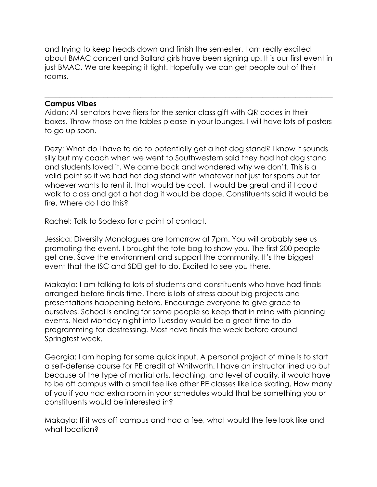and trying to keep heads down and finish the semester. I am really excited about BMAC concert and Ballard girls have been signing up. It is our first event in just BMAC. We are keeping it tight. Hopefully we can get people out of their rooms.

### **Campus Vibes**

Aidan: All senators have fliers for the senior class gift with QR codes in their boxes. Throw those on the tables please in your lounges. I will have lots of posters to go up soon.

 $\_$  , and the set of the set of the set of the set of the set of the set of the set of the set of the set of the set of the set of the set of the set of the set of the set of the set of the set of the set of the set of th

Dezy: What do I have to do to potentially get a hot dog stand? I know it sounds silly but my coach when we went to Southwestern said they had hot dog stand and students loved it. We came back and wondered why we don't. This is a valid point so if we had hot dog stand with whatever not just for sports but for whoever wants to rent it, that would be cool. It would be great and if I could walk to class and got a hot dog it would be dope. Constituents said it would be fire. Where do I do this?

Rachel: Talk to Sodexo for a point of contact.

Jessica: Diversity Monologues are tomorrow at 7pm. You will probably see us promoting the event. I brought the tote bag to show you. The first 200 people get one. Save the environment and support the community. It's the biggest event that the ISC and SDEI get to do. Excited to see you there.

Makayla: I am talking to lots of students and constituents who have had finals arranged before finals time. There is lots of stress about big projects and presentations happening before. Encourage everyone to give grace to ourselves. School is ending for some people so keep that in mind with planning events. Next Monday night into Tuesday would be a great time to do programming for destressing. Most have finals the week before around Springfest week.

Georgia: I am hoping for some quick input. A personal project of mine is to start a self-defense course for PE credit at Whitworth. I have an instructor lined up but because of the type of martial arts, teaching, and level of quality, it would have to be off campus with a small fee like other PE classes like ice skating. How many of you if you had extra room in your schedules would that be something you or constituents would be interested in?

Makayla: If it was off campus and had a fee, what would the fee look like and what location?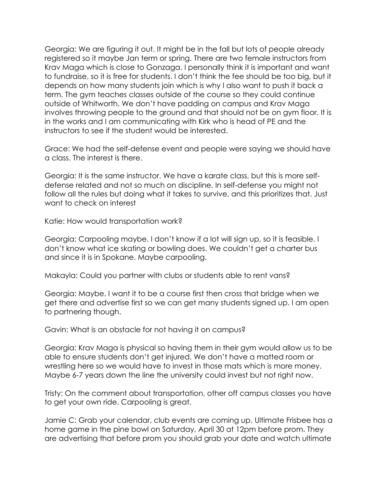Georgia: We are figuring it out. It might be in the fall but lots of people already registered so it maybe Jan term or spring. There are two female instructors from Krav Maga which is close to Gonzaga. I personally think it is important and want to fundraise, so it is free for students. I don't think the fee should be too big, but it depends on how many students join which is why I also want to push it back a term. The gym teaches classes outside of the course so they could continue outside of Whitworth. We don't have padding on campus and Krav Maga involves throwing people to the ground and that should not be on gym floor. It is in the works and I am communicating with Kirk who is head of PE and the instructors to see if the student would be interested.

Grace: We had the self-defense event and people were saying we should have a class. The interest is there.

Georgia: It is the same instructor. We have a karate class, but this is more selfdefense related and not so much on discipline. In self-defense you might not follow all the rules but doing what it takes to survive, and this prioritizes that. Just want to check on interest

Katie: How would transportation work?

Georgia: Carpooling maybe. I don't know if a lot will sign up, so it is feasible. I don't know what ice skating or bowling does. We couldn't get a charter bus and since it is in Spokane. Maybe carpooling.

Makayla: Could you partner with clubs or students able to rent vans?

Georgia: Maybe. I want it to be a course first then cross that bridge when we get there and advertise first so we can get many students signed up. I am open to partnering though.

Gavin: What is an obstacle for not having it on campus?

Georgia: Krav Maga is physical so having them in their gym would allow us to be able to ensure students don't get injured. We don't have a matted room or wrestling here so we would have to invest in those mats which is more money. Maybe 6-7 years down the line the university could invest but not right now.

Tristy: On the comment about transportation, other off campus classes you have to get your own ride. Carpooling is great.

Jamie C: Grab your calendar, club events are coming up. Ultimate Frisbee has a home game in the pine bowl on Saturday, April 30 at 12pm before prom. They are advertising that before prom you should grab your date and watch ultimate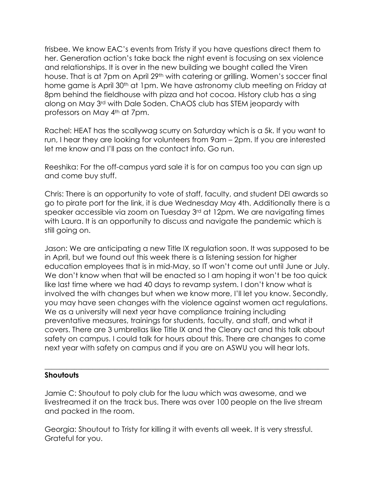frisbee. We know EAC's events from Tristy if you have questions direct them to her. Generation action's take back the night event is focusing on sex violence and relationships. It is over in the new building we bought called the Viren house. That is at 7pm on April 29<sup>th</sup> with catering or grilling. Women's soccer final home game is April 30<sup>th</sup> at 1pm. We have astronomy club meeting on Friday at 8pm behind the fieldhouse with pizza and hot cocoa. History club has a sing along on May 3rd with Dale Soden. ChAOS club has STEM jeopardy with professors on May 4th at 7pm.

Rachel: HEAT has the scallywag scurry on Saturday which is a 5k. If you want to run, I hear they are looking for volunteers from 9am – 2pm. If you are interested let me know and I'll pass on the contact info. Go run.

Reeshika: For the off-campus yard sale it is for on campus too you can sign up and come buy stuff.

Chris: There is an opportunity to vote of staff, faculty, and student DEI awards so go to pirate port for the link, it is due Wednesday May 4th. Additionally there is a speaker accessible via zoom on Tuesday 3<sup>rd</sup> at 12pm. We are navigating times with Laura. It is an opportunity to discuss and navigate the pandemic which is still going on.

Jason: We are anticipating a new Title IX regulation soon. It was supposed to be in April, but we found out this week there is a listening session for higher education employees that is in mid-May, so IT won't come out until June or July. We don't know when that will be enacted so I am hoping it won't be too quick like last time where we had 40 days to revamp system. I don't know what is involved the with changes but when we know more, I'll let you know. Secondly, you may have seen changes with the violence against women act regulations. We as a university will next year have compliance training including preventative measures, trainings for students, faculty, and staff, and what it covers. There are 3 umbrellas like Title IX and the Cleary act and this talk about safety on campus. I could talk for hours about this. There are changes to come next year with safety on campus and if you are on ASWU you will hear lots.

### **Shoutouts**

Jamie C: Shoutout to poly club for the luau which was awesome, and we livestreamed it on the track bus. There was over 100 people on the live stream and packed in the room.

 $\_$  , and the set of the set of the set of the set of the set of the set of the set of the set of the set of the set of the set of the set of the set of the set of the set of the set of the set of the set of the set of th

Georgia: Shoutout to Tristy for killing it with events all week. It is very stressful. Grateful for you.